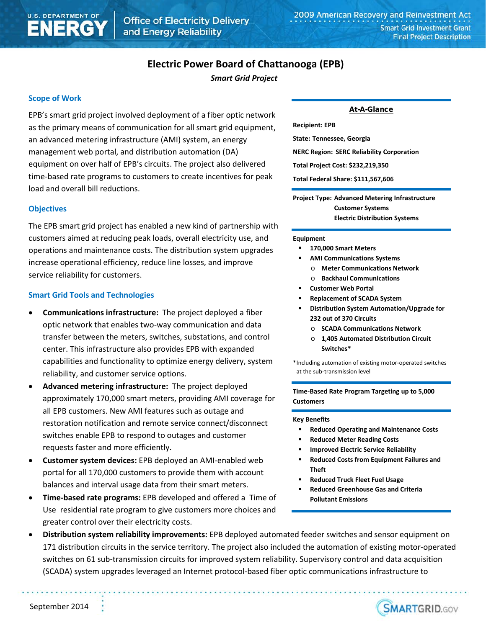# **Electric Power Board of Chattanooga (EPB)**

*Smart Grid Project*

# **Scope of Work**

EPB's smart grid project involved deployment of a fiber optic network as the primary means of communication for all smart grid equipment, an advanced metering infrastructure (AMI) system, an energy management web portal, and distribution automation (DA) equipment on over half of EPB's circuits. The project also delivered time-based rate programs to customers to create incentives for peak load and overall bill reductions.

### **Objectives**

The EPB smart grid project has enabled a new kind of partnership with customers aimed at reducing peak loads, overall electricity use, and operations and maintenance costs. The distribution system upgrades increase operational efficiency, reduce line losses, and improve service reliability for customers.

### **Smart Grid Tools and Technologies**

- **Communications infrastructure:** The project deployed a fiber optic network that enables two-way communication and data transfer between the meters, switches, substations, and control center. This infrastructure also provides EPB with expanded capabilities and functionality to optimize energy delivery, system reliability, and customer service options.
- **Advanced metering infrastructure:** The project deployed approximately 170,000 smart meters, providing AMI coverage for all EPB customers. New AMI features such as outage and restoration notification and remote service connect/disconnect switches enable EPB to respond to outages and customer requests faster and more efficiently.
- **Customer system devices:** EPB deployed an AMI-enabled web portal for all 170,000 customers to provide them with account balances and interval usage data from their smart meters.
- **Time-based rate programs:** EPB developed and offered a Time of Use residential rate program to give customers more choices and greater control over their electricity costs.

### At-A-Glance

**Recipient: EPB State: Tennessee, Georgia NERC Region: SERC Reliability Corporation Total Project Cost: \$232,219,350 Total Federal Share: \$111,567,606**

**Project Type: Advanced Metering Infrastructure Customer Systems Electric Distribution Systems**

#### **Equipment**

- **170,000 Smart Meters**
- **AMI Communications Systems**
	- o **Meter Communications Network**
	- o **Backhaul Communications**
- **Customer Web Portal**
- **Replacement of SCADA System**
- **Distribution System Automation/Upgrade for 232 out of 370 Circuits**
	- o **SCADA Communications Network**
	- o **1,405 Automated Distribution Circuit Switches\***

\*Including automation of existing motor-operated switches at the sub-transmission level

**Time-Based Rate Program Targeting up to 5,000 Customers**

#### **Key Benefits**

- **Reduced Operating and Maintenance Costs**
- **Reduced Meter Reading Costs**
- **Improved Electric Service Reliability**
- **Reduced Costs from Equipment Failures and Theft**

**SMARTGRID.GOV** 

- **Reduced Truck Fleet Fuel Usage**
- **Reduced Greenhouse Gas and Criteria Pollutant Emissions**
- **Distribution system reliability improvements:** EPB deployed automated feeder switches and sensor equipment on 171 distribution circuits in the service territory. The project also included the automation of existing motor-operated switches on 61 sub-transmission circuits for improved system reliability. Supervisory control and data acquisition (SCADA) system upgrades leveraged an Internet protocol-based fiber optic communications infrastructure to